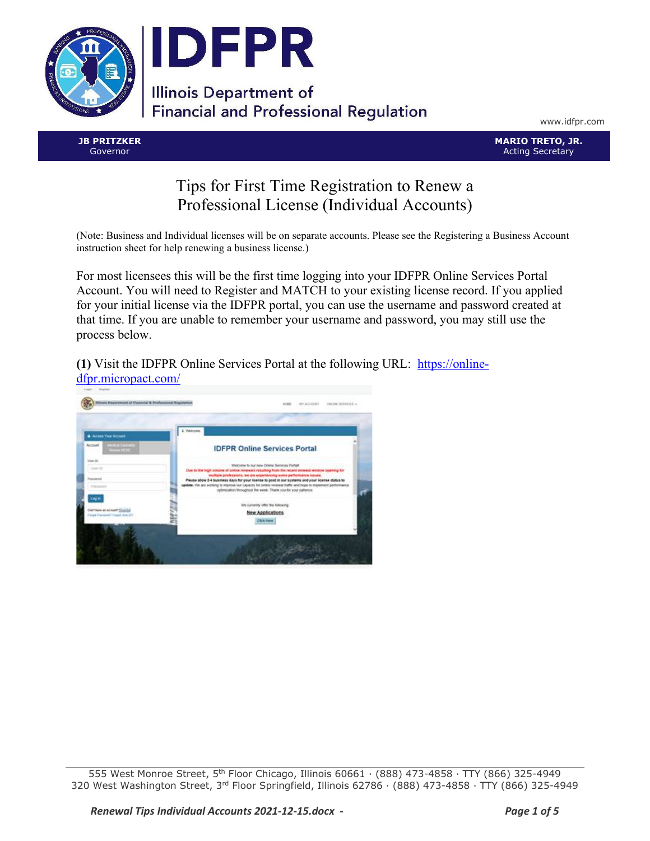

www.idfpr.com

**JB PRITZKER** Governor

**MARIO TRETO, JR.** Acting Secretary

## Tips for First Time Registration to Renew a Professional License (Individual Accounts)

(Note: Business and Individual licenses will be on separate accounts. Please see the Registering a Business Account instruction sheet for help renewing a business license.)

For most licensees this will be the first time logging into your IDFPR Online Services Portal Account. You will need to Register and MATCH to your existing license record. If you applied for your initial license via the IDFPR portal, you can use the username and password created at that time. If you are unable to remember your username and password, you may still use the process below.

**(1)** Visit the IDFPR Online Services Portal at the following URL: [https://online](https://online-dfpr.micropact.com/)[dfpr.micropact.com/](https://online-dfpr.micropact.com/)



555 West Monroe Street, 5th Floor Chicago, Illinois 60661 ∙ (888) 473-4858 ∙ TTY (866) 325-4949 320 West Washington Street, 3rd Floor Springfield, Illinois 62786 ∙ (888) 473-4858 ∙ TTY (866) 325-4949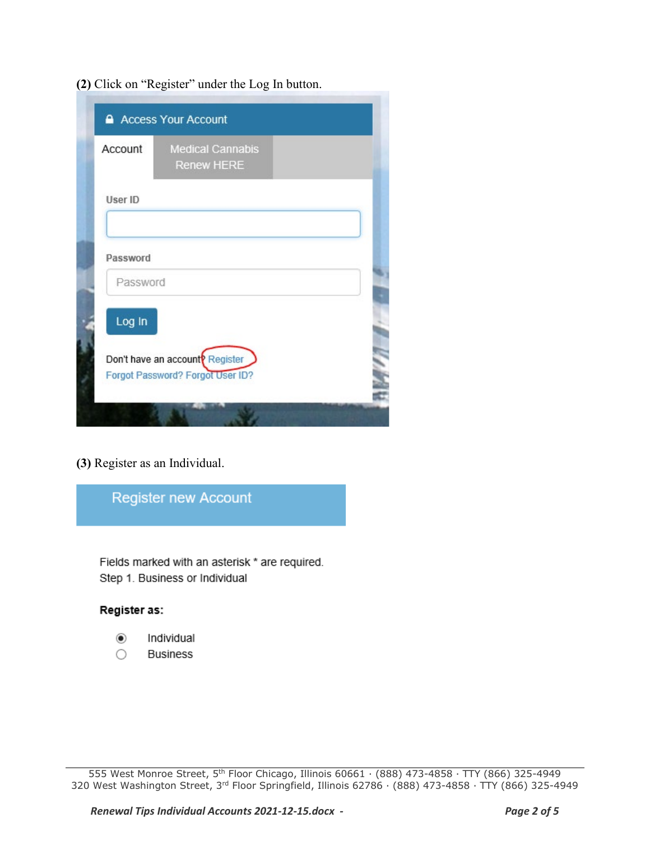**(2)** Click on "Register" under the Log In button.

| Account  | <b>Medical Cannabis</b><br><b>Renew HERE</b> |  |
|----------|----------------------------------------------|--|
| User ID  |                                              |  |
|          |                                              |  |
| Password |                                              |  |
| Password |                                              |  |
| Log In   |                                              |  |
|          | Don't have an account <sup>p</sup> Register  |  |
|          | Forgot Password? Forgot User ID?             |  |

**(3)** Register as an Individual.



Fields marked with an asterisk \* are required. Step 1. Business or Individual

## Register as:

- $_{\odot}$ Individual
- O **Business**

555 West Monroe Street, 5th Floor Chicago, Illinois 60661 ∙ (888) 473-4858 ∙ TTY (866) 325-4949 320 West Washington Street, 3rd Floor Springfield, Illinois 62786 ∙ (888) 473-4858 ∙ TTY (866) 325-4949

*Renewal Tips Individual Accounts 2021-12-15.docx - Page 2 of 5*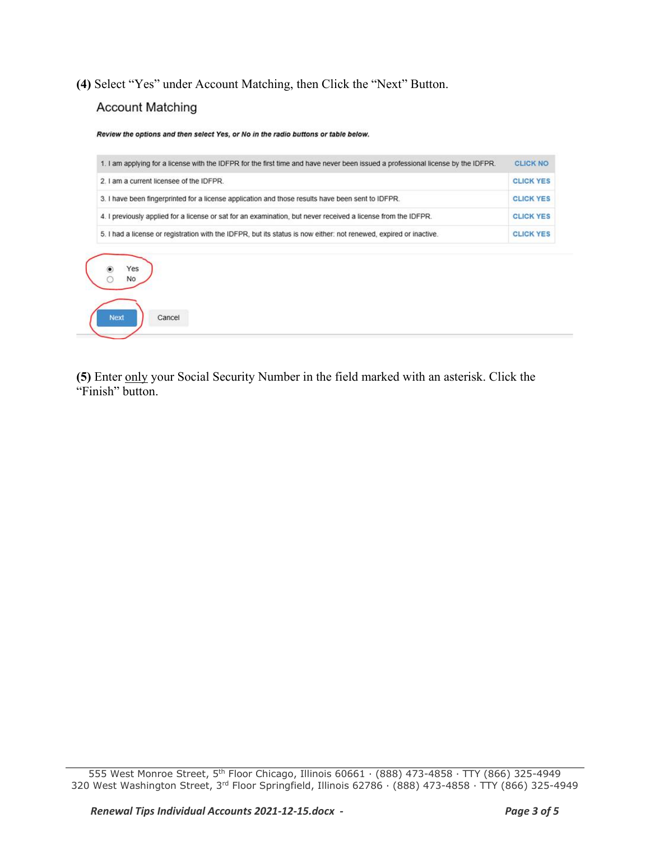**(4)** Select "Yes" under Account Matching, then Click the "Next" Button. **Account Matching** 

Cancel

**Next** 

Review the options and then select Yes, or No in the radio buttons or table below. 1. I am applying for a license with the IDFPR for the first time and have never been issued a professional license by the IDFPR. **CLICK NO CLICK YES** 2. I am a current licensee of the IDFPR. 3. I have been fingerprinted for a license application and those results have been sent to IDFPR. **CLICK YES CLICK YES** 4. I previously applied for a license or sat for an examination, but never received a license from the IDFPR. 5. I had a license or registration with the IDFPR, but its status is now either: not renewed, expired or inactive. **CLICK YES** Yes ۱  $\circ$ **No** 

**(5)** Enter only your Social Security Number in the field marked with an asterisk. Click the "Finish" button.

555 West Monroe Street, 5th Floor Chicago, Illinois 60661 ∙ (888) 473-4858 ∙ TTY (866) 325-4949 320 West Washington Street, 3rd Floor Springfield, Illinois 62786 ∙ (888) 473-4858 ∙ TTY (866) 325-4949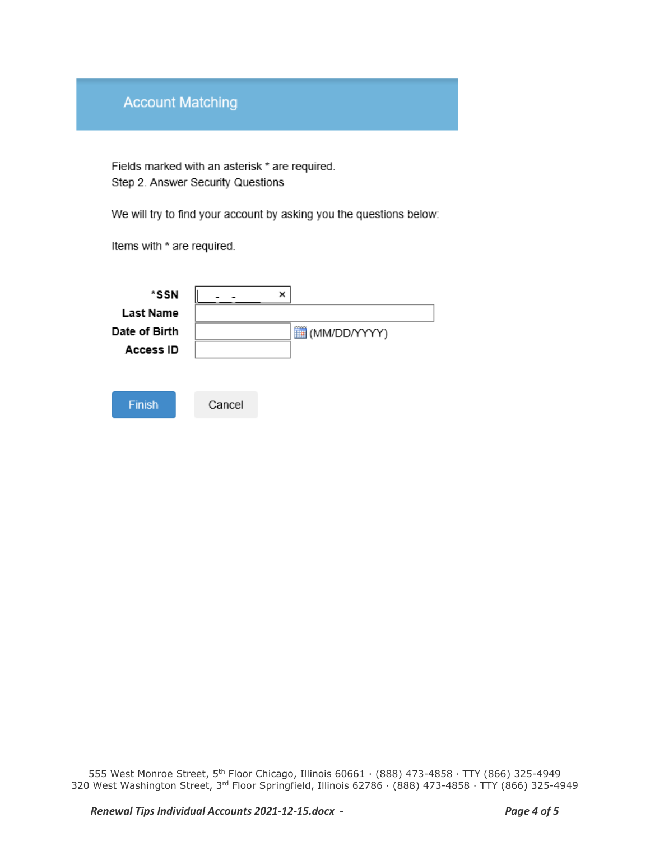## **Account Matching**

Fields marked with an asterisk \* are required. Step 2. Answer Security Questions

We will try to find your account by asking you the questions below:

Items with \* are required.

| *SSN<br>Last Name                 | ×            |  |
|-----------------------------------|--------------|--|
| Date of Birth<br><b>Access ID</b> | (MM/DD/YYYY) |  |
| <b>Finish</b>                     | Cancel       |  |

<sup>555</sup> West Monroe Street, 5th Floor Chicago, Illinois 60661 ∙ (888) 473-4858 ∙ TTY (866) 325-4949 320 West Washington Street, 3rd Floor Springfield, Illinois 62786 ∙ (888) 473-4858 ∙ TTY (866) 325-4949